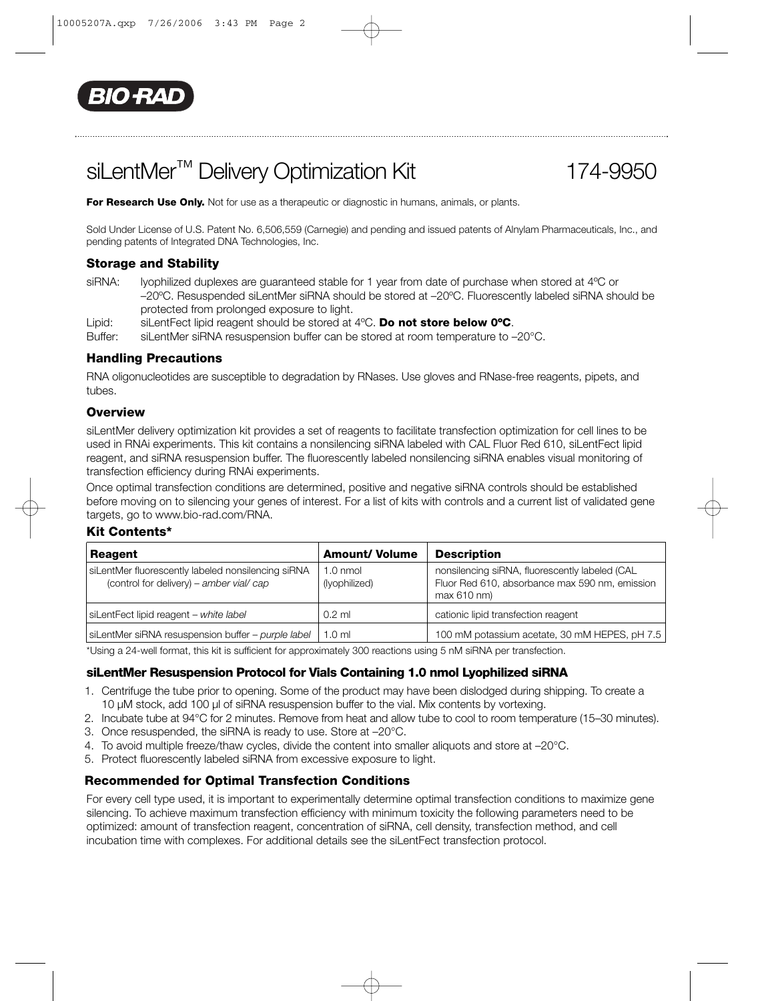

# siLentMer<sup>™</sup> Delivery Optimization Kit 174-9950

For Research Use Only. Not for use as a therapeutic or diagnostic in humans, animals, or plants.

Sold Under License of U.S. Patent No. 6,506,559 (Carnegie) and pending and issued patents of Alnylam Pharmaceuticals, Inc., and pending patents of Integrated DNA Technologies, Inc.

## **Storage and Stability**

siRNA: lyophilized duplexes are guaranteed stable for 1 year from date of purchase when stored at 4°C or –20ºC. Resuspended siLentMer siRNA should be stored at –20ºC. Fluorescently labeled siRNA should be protected from prolonged exposure to light.

Lipid: siLentFect lipid reagent should be stored at 4ºC. **Do not store below 0ºC**.

siLentMer siRNA resuspension buffer can be stored at room temperature to –20°C.

## **Handling Precautions**

RNA oligonucleotides are susceptible to degradation by RNases. Use gloves and RNase-free reagents, pipets, and tubes.

## **Overview**

siLentMer delivery optimization kit provides a set of reagents to facilitate transfection optimization for cell lines to be used in RNAi experiments. This kit contains a nonsilencing siRNA labeled with CAL Fluor Red 610, siLentFect lipid reagent, and siRNA resuspension buffer. The fluorescently labeled nonsilencing siRNA enables visual monitoring of transfection efficiency during RNAi experiments.

Once optimal transfection conditions are determined, positive and negative siRNA controls should be established before moving on to silencing your genes of interest. For a list of kits with controls and a current list of validated gene targets, go to www.bio-rad.com/RNA.

## **Kit Contents\***

| Reagent                                                                                        | <b>Amount/ Volume</b>               | <b>Description</b>                                                                                             |
|------------------------------------------------------------------------------------------------|-------------------------------------|----------------------------------------------------------------------------------------------------------------|
| siLentMer fluorescently labeled nonsilencing siRNA<br>(control for delivery) – amber vial/ cap | $1.0 \text{ nmol}$<br>(Iyophilized) | nonsilencing siRNA, fluorescently labeled (CAL<br>Fluor Red 610, absorbance max 590 nm, emission<br>max 610 nm |
| siLentFect lipid reagent - white label                                                         | $0.2$ ml                            | cationic lipid transfection reagent                                                                            |
| siLentMer siRNA resuspension buffer - purple label                                             | 1.0 <sub>m</sub>                    | 100 mM potassium acetate, 30 mM HEPES, pH 7.5                                                                  |

\*Using a 24-well format, this kit is sufficient for approximately 300 reactions using 5 nM siRNA per transfection.

## **siLentMer Resuspension Protocol for Vials Containing 1.0 nmol Lyophilized siRNA**

- 1. Centrifuge the tube prior to opening. Some of the product may have been dislodged during shipping. To create a 10 µM stock, add 100 µl of siRNA resuspension buffer to the vial. Mix contents by vortexing.
- 2. Incubate tube at 94°C for 2 minutes. Remove from heat and allow tube to cool to room temperature (15–30 minutes).
- 3. Once resuspended, the siRNA is ready to use. Store at –20°C.
- 4. To avoid multiple freeze/thaw cycles, divide the content into smaller aliquots and store at –20°C.
- 5. Protect fluorescently labeled siRNA from excessive exposure to light.

## **Recommended for Optimal Transfection Conditions**

For every cell type used, it is important to experimentally determine optimal transfection conditions to maximize gene silencing. To achieve maximum transfection efficiency with minimum toxicity the following parameters need to be optimized: amount of transfection reagent, concentration of siRNA, cell density, transfection method, and cell incubation time with complexes. For additional details see the siLentFect transfection protocol.